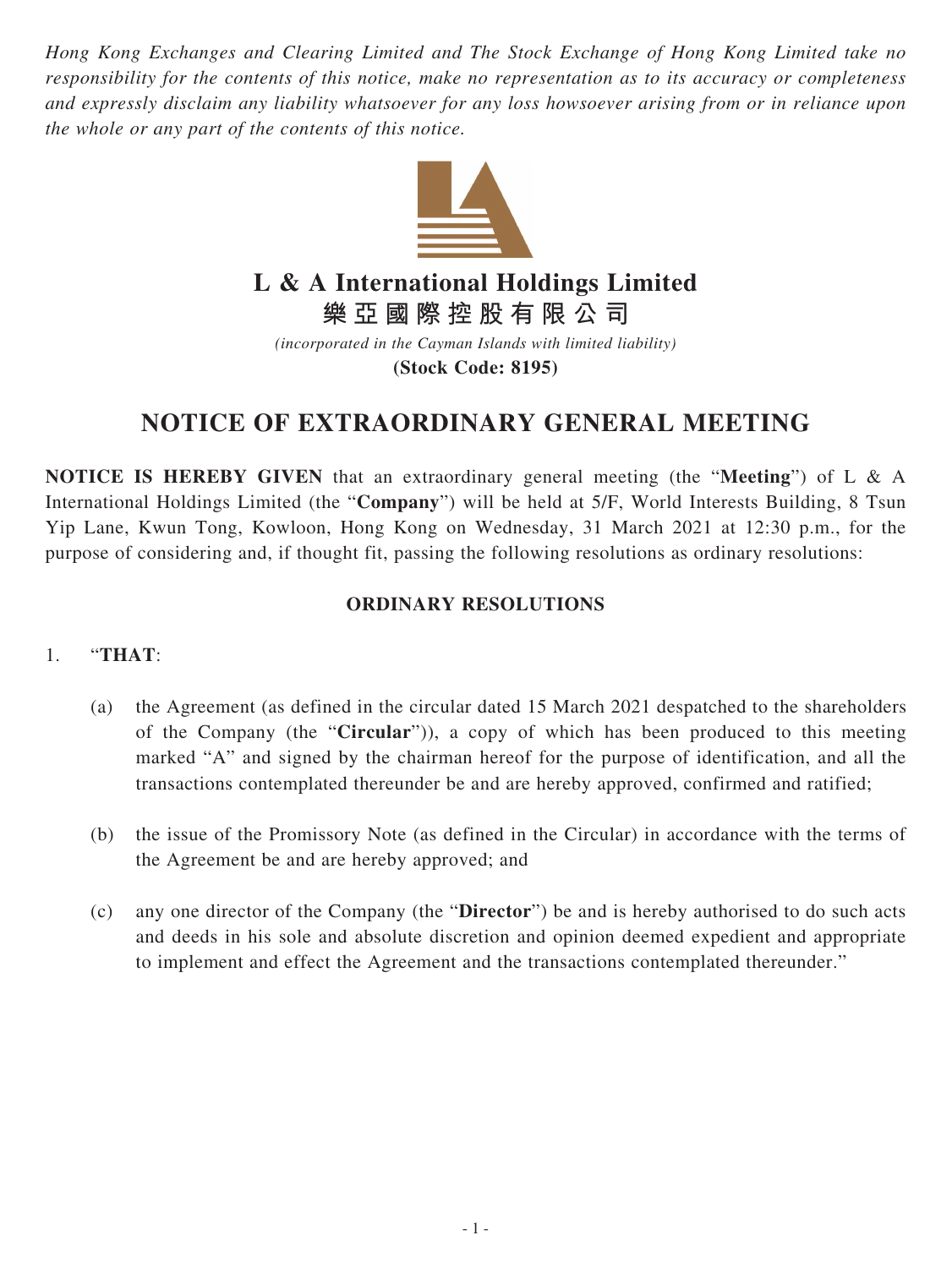*Hong Kong Exchanges and Clearing Limited and The Stock Exchange of Hong Kong Limited take no responsibility for the contents of this notice, make no representation as to its accuracy or completeness and expressly disclaim any liability whatsoever for any loss howsoever arising from or in reliance upon the whole or any part of the contents of this notice.*



## **L & A International Holdings Limited**

**樂亞國際控股有限公司**

*(incorporated in the Cayman Islands with limited liability)* **(Stock Code: 8195)**

## **NOTICE OF EXTRAORDINARY GENERAL MEETING**

**NOTICE IS HEREBY GIVEN** that an extraordinary general meeting (the "**Meeting**") of L & A International Holdings Limited (the "**Company**") will be held at 5/F, World Interests Building, 8 Tsun Yip Lane, Kwun Tong, Kowloon, Hong Kong on Wednesday, 31 March 2021 at 12:30 p.m., for the purpose of considering and, if thought fit, passing the following resolutions as ordinary resolutions:

## **ORDINARY RESOLUTIONS**

## 1. "**THAT**:

- (a) the Agreement (as defined in the circular dated 15 March 2021 despatched to the shareholders of the Company (the "**Circular**")), a copy of which has been produced to this meeting marked "A" and signed by the chairman hereof for the purpose of identification, and all the transactions contemplated thereunder be and are hereby approved, confirmed and ratified;
- (b) the issue of the Promissory Note (as defined in the Circular) in accordance with the terms of the Agreement be and are hereby approved; and
- (c) any one director of the Company (the "**Director**") be and is hereby authorised to do such acts and deeds in his sole and absolute discretion and opinion deemed expedient and appropriate to implement and effect the Agreement and the transactions contemplated thereunder."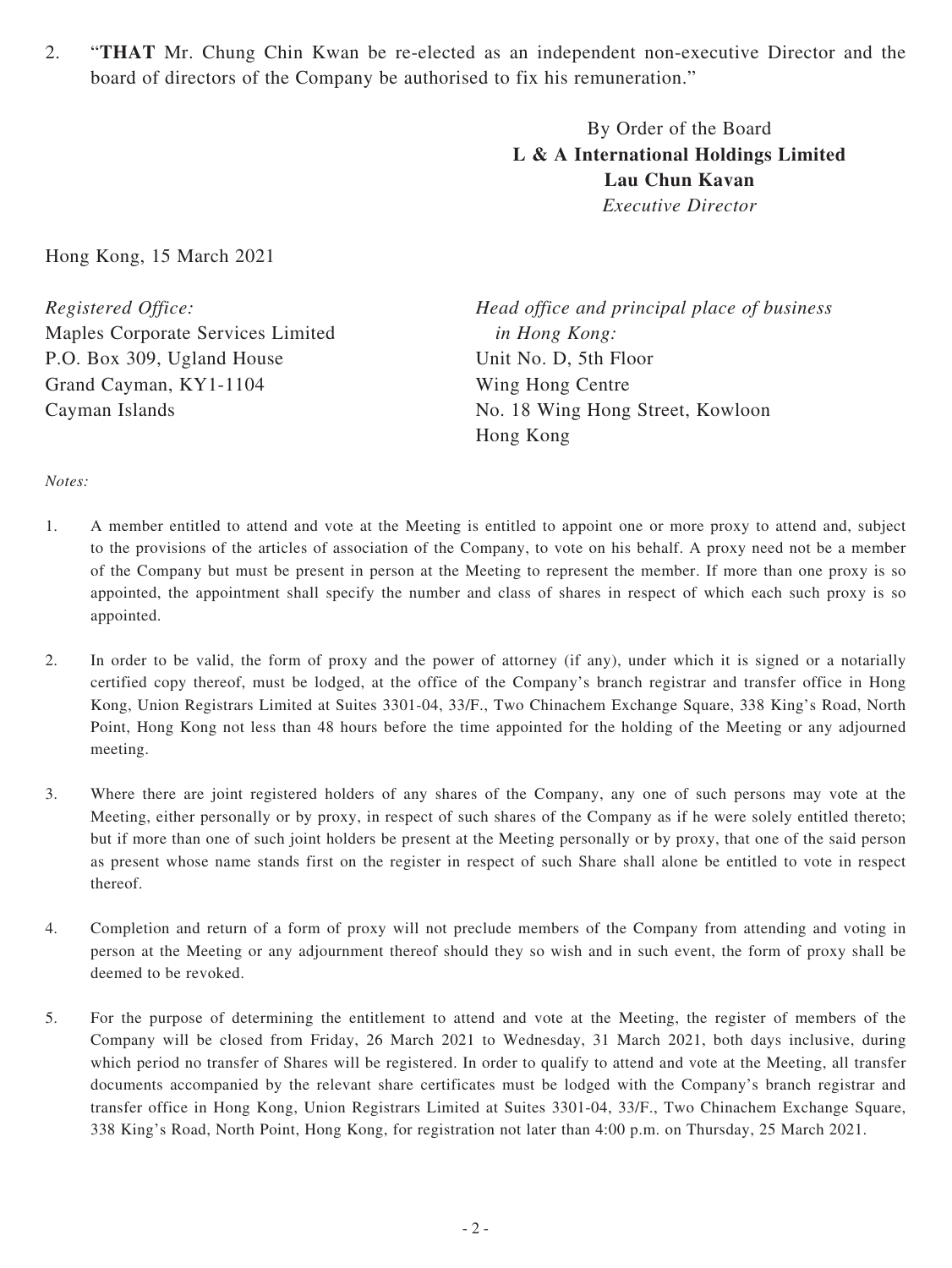2. "**THAT** Mr. Chung Chin Kwan be re-elected as an independent non-executive Director and the board of directors of the Company be authorised to fix his remuneration."

> By Order of the Board **L & A International Holdings Limited Lau Chun Kavan** *Executive Director*

Hong Kong, 15 March 2021

*Registered Office:* Maples Corporate Services Limited P.O. Box 309, Ugland House Grand Cayman, KY1-1104 Cayman Islands

*Head office and principal place of business in Hong Kong:* Unit No. D, 5th Floor Wing Hong Centre No. 18 Wing Hong Street, Kowloon Hong Kong

*Notes:*

- 1. A member entitled to attend and vote at the Meeting is entitled to appoint one or more proxy to attend and, subject to the provisions of the articles of association of the Company, to vote on his behalf. A proxy need not be a member of the Company but must be present in person at the Meeting to represent the member. If more than one proxy is so appointed, the appointment shall specify the number and class of shares in respect of which each such proxy is so appointed.
- 2. In order to be valid, the form of proxy and the power of attorney (if any), under which it is signed or a notarially certified copy thereof, must be lodged, at the office of the Company's branch registrar and transfer office in Hong Kong, Union Registrars Limited at Suites 3301-04, 33/F., Two Chinachem Exchange Square, 338 King's Road, North Point, Hong Kong not less than 48 hours before the time appointed for the holding of the Meeting or any adjourned meeting.
- 3. Where there are joint registered holders of any shares of the Company, any one of such persons may vote at the Meeting, either personally or by proxy, in respect of such shares of the Company as if he were solely entitled thereto; but if more than one of such joint holders be present at the Meeting personally or by proxy, that one of the said person as present whose name stands first on the register in respect of such Share shall alone be entitled to vote in respect thereof.
- 4. Completion and return of a form of proxy will not preclude members of the Company from attending and voting in person at the Meeting or any adjournment thereof should they so wish and in such event, the form of proxy shall be deemed to be revoked.
- 5. For the purpose of determining the entitlement to attend and vote at the Meeting, the register of members of the Company will be closed from Friday, 26 March 2021 to Wednesday, 31 March 2021, both days inclusive, during which period no transfer of Shares will be registered. In order to qualify to attend and vote at the Meeting, all transfer documents accompanied by the relevant share certificates must be lodged with the Company's branch registrar and transfer office in Hong Kong, Union Registrars Limited at Suites 3301-04, 33/F., Two Chinachem Exchange Square, 338 King's Road, North Point, Hong Kong, for registration not later than 4:00 p.m. on Thursday, 25 March 2021.